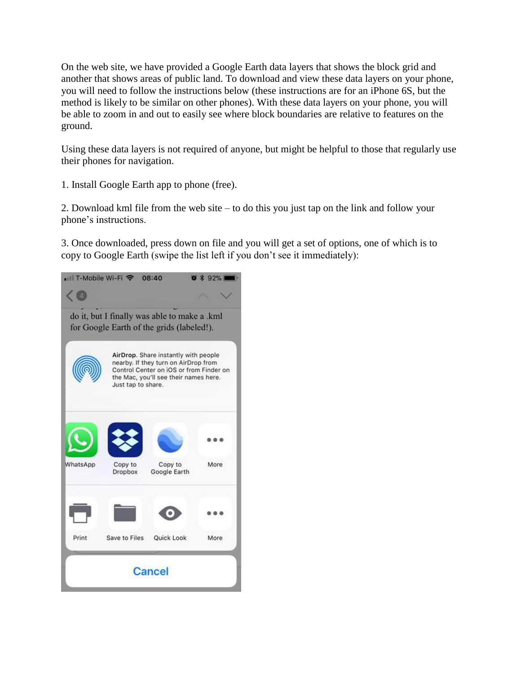On the web site, we have provided a Google Earth data layers that shows the block grid and another that shows areas of public land. To download and view these data layers on your phone, you will need to follow the instructions below (these instructions are for an iPhone 6S, but the method is likely to be similar on other phones). With these data layers on your phone, you will be able to zoom in and out to easily see where block boundaries are relative to features on the ground.

Using these data layers is not required of anyone, but might be helpful to those that regularly use their phones for navigation.

1. Install Google Earth app to phone (free).

2. Download kml file from the web site – to do this you just tap on the link and follow your phone's instructions.

3. Once downloaded, press down on file and you will get a set of options, one of which is to copy to Google Earth (swipe the list left if you don't see it immediately):